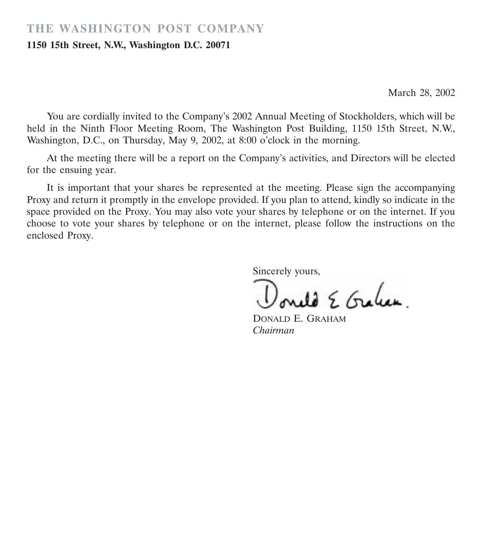## **THE WASHINGTON POST COMPANY**

#### **1150 15th Street, N.W., Washington D.C. 20071**

March 28, 2002

You are cordially invited to the Company's 2002 Annual Meeting of Stockholders, which will be held in the Ninth Floor Meeting Room, The Washington Post Building, 1150 15th Street, N.W., Washington, D.C., on Thursday, May 9, 2002, at 8:00 o'clock in the morning.

At the meeting there will be a report on the Company's activities, and Directors will be elected for the ensuing year.

It is important that your shares be represented at the meeting. Please sign the accompanying Proxy and return it promptly in the envelope provided. If you plan to attend, kindly so indicate in the space provided on the Proxy. You may also vote your shares by telephone or on the internet. If you choose to vote your shares by telephone or on the internet, please follow the instructions on the enclosed Proxy.

Sincerely yours,

do E Graham.

DONALD E. GRAHAM *Chairman*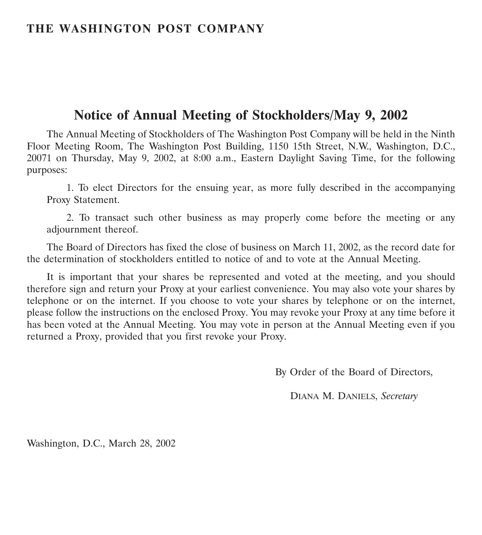## **THE WASHINGTON POST COMPANY**

# **Notice of Annual Meeting of Stockholders/May 9, 2002**

The Annual Meeting of Stockholders of The Washington Post Company will be held in the Ninth Floor Meeting Room, The Washington Post Building, 1150 15th Street, N.W., Washington, D.C., 20071 on Thursday, May 9, 2002, at 8:00 a.m., Eastern Daylight Saving Time, for the following purposes:

1. To elect Directors for the ensuing year, as more fully described in the accompanying Proxy Statement.

2. To transact such other business as may properly come before the meeting or any adjournment thereof.

The Board of Directors has fixed the close of business on March 11, 2002, as the record date for the determination of stockholders entitled to notice of and to vote at the Annual Meeting.

It is important that your shares be represented and voted at the meeting, and you should therefore sign and return your Proxy at your earliest convenience. You may also vote your shares by telephone or on the internet. If you choose to vote your shares by telephone or on the internet, please follow the instructions on the enclosed Proxy. You may revoke your Proxy at any time before it has been voted at the Annual Meeting. You may vote in person at the Annual Meeting even if you returned a Proxy, provided that you first revoke your Proxy.

By Order of the Board of Directors,

DIANA M. DANIELS, *Secretary*

Washington, D.C., March 28, 2002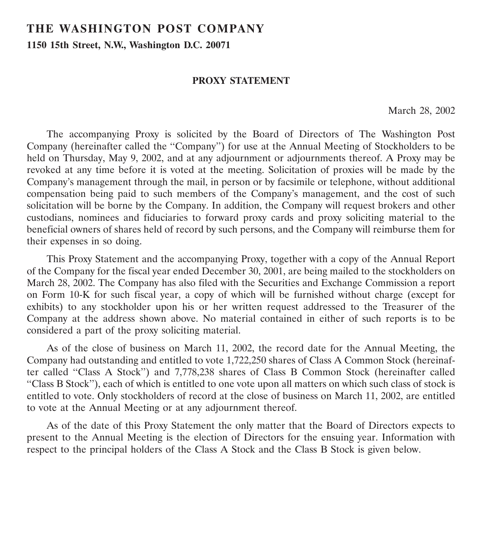# **THE WASHINGTON POST COMPANY**

**1150 15th Street, N.W., Washington D.C. 20071**

### **PROXY STATEMENT**

March 28, 2002

The accompanying Proxy is solicited by the Board of Directors of The Washington Post Company (hereinafter called the ''Company'') for use at the Annual Meeting of Stockholders to be held on Thursday, May 9, 2002, and at any adjournment or adjournments thereof. A Proxy may be revoked at any time before it is voted at the meeting. Solicitation of proxies will be made by the Company's management through the mail, in person or by facsimile or telephone, without additional compensation being paid to such members of the Company's management, and the cost of such solicitation will be borne by the Company. In addition, the Company will request brokers and other custodians, nominees and fiduciaries to forward proxy cards and proxy soliciting material to the beneficial owners of shares held of record by such persons, and the Company will reimburse them for their expenses in so doing.

This Proxy Statement and the accompanying Proxy, together with a copy of the Annual Report of the Company for the fiscal year ended December 30, 2001, are being mailed to the stockholders on March 28, 2002. The Company has also filed with the Securities and Exchange Commission a report on Form 10-K for such fiscal year, a copy of which will be furnished without charge (except for exhibits) to any stockholder upon his or her written request addressed to the Treasurer of the Company at the address shown above. No material contained in either of such reports is to be considered a part of the proxy soliciting material.

As of the close of business on March 11, 2002, the record date for the Annual Meeting, the Company had outstanding and entitled to vote 1,722,250 shares of Class A Common Stock (hereinafter called ''Class A Stock'') and 7,778,238 shares of Class B Common Stock (hereinafter called ''Class B Stock''), each of which is entitled to one vote upon all matters on which such class of stock is entitled to vote. Only stockholders of record at the close of business on March 11, 2002, are entitled to vote at the Annual Meeting or at any adjournment thereof.

As of the date of this Proxy Statement the only matter that the Board of Directors expects to present to the Annual Meeting is the election of Directors for the ensuing year. Information with respect to the principal holders of the Class A Stock and the Class B Stock is given below.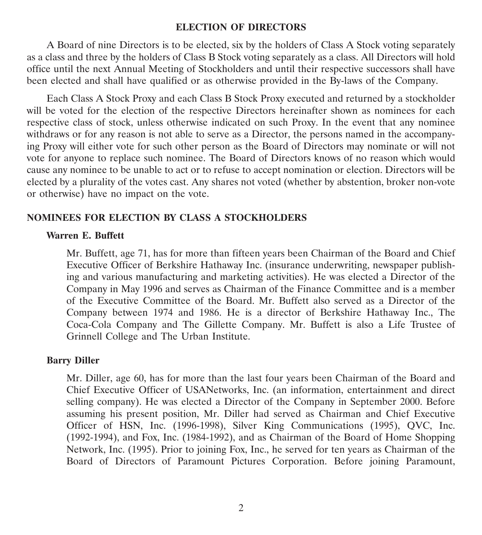#### **ELECTION OF DIRECTORS**

A Board of nine Directors is to be elected, six by the holders of Class A Stock voting separately as a class and three by the holders of Class B Stock voting separately as a class. All Directors will hold office until the next Annual Meeting of Stockholders and until their respective successors shall have been elected and shall have qualified or as otherwise provided in the By-laws of the Company.

Each Class A Stock Proxy and each Class B Stock Proxy executed and returned by a stockholder will be voted for the election of the respective Directors hereinafter shown as nominees for each respective class of stock, unless otherwise indicated on such Proxy. In the event that any nominee withdraws or for any reason is not able to serve as a Director, the persons named in the accompanying Proxy will either vote for such other person as the Board of Directors may nominate or will not vote for anyone to replace such nominee. The Board of Directors knows of no reason which would cause any nominee to be unable to act or to refuse to accept nomination or election. Directors will be elected by a plurality of the votes cast. Any shares not voted (whether by abstention, broker non-vote or otherwise) have no impact on the vote.

#### **NOMINEES FOR ELECTION BY CLASS A STOCKHOLDERS**

#### **Warren E. Buffett**

Mr. Buffett, age 71, has for more than fifteen years been Chairman of the Board and Chief Executive Officer of Berkshire Hathaway Inc. (insurance underwriting, newspaper publishing and various manufacturing and marketing activities). He was elected a Director of the Company in May 1996 and serves as Chairman of the Finance Committee and is a member of the Executive Committee of the Board. Mr. Buffett also served as a Director of the Company between 1974 and 1986. He is a director of Berkshire Hathaway Inc., The Coca-Cola Company and The Gillette Company. Mr. Buffett is also a Life Trustee of Grinnell College and The Urban Institute.

#### **Barry Diller**

Mr. Diller, age 60, has for more than the last four years been Chairman of the Board and Chief Executive Officer of USANetworks, Inc. (an information, entertainment and direct selling company). He was elected a Director of the Company in September 2000. Before assuming his present position, Mr. Diller had served as Chairman and Chief Executive Officer of HSN, Inc. (1996-1998), Silver King Communications (1995), QVC, Inc. (1992-1994), and Fox, Inc. (1984-1992), and as Chairman of the Board of Home Shopping Network, Inc. (1995). Prior to joining Fox, Inc., he served for ten years as Chairman of the Board of Directors of Paramount Pictures Corporation. Before joining Paramount,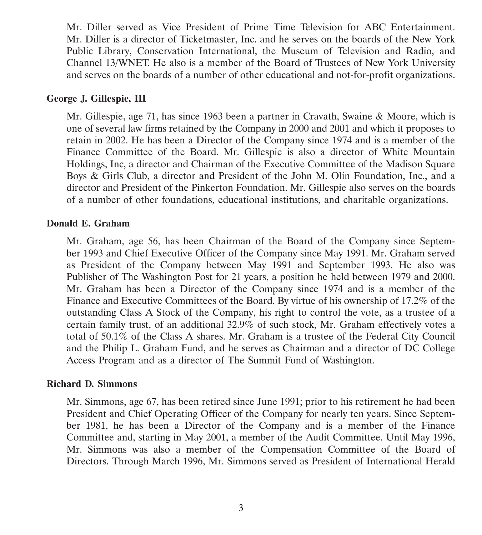Mr. Diller served as Vice President of Prime Time Television for ABC Entertainment. Mr. Diller is a director of Ticketmaster, Inc. and he serves on the boards of the New York Public Library, Conservation International, the Museum of Television and Radio, and Channel 13/WNET. He also is a member of the Board of Trustees of New York University and serves on the boards of a number of other educational and not-for-profit organizations.

#### **George J. Gillespie, III**

Mr. Gillespie, age 71, has since 1963 been a partner in Cravath, Swaine & Moore, which is one of several law firms retained by the Company in 2000 and 2001 and which it proposes to retain in 2002. He has been a Director of the Company since 1974 and is a member of the Finance Committee of the Board. Mr. Gillespie is also a director of White Mountain Holdings, Inc, a director and Chairman of the Executive Committee of the Madison Square Boys & Girls Club, a director and President of the John M. Olin Foundation, Inc., and a director and President of the Pinkerton Foundation. Mr. Gillespie also serves on the boards of a number of other foundations, educational institutions, and charitable organizations.

#### **Donald E. Graham**

Mr. Graham, age 56, has been Chairman of the Board of the Company since September 1993 and Chief Executive Officer of the Company since May 1991. Mr. Graham served as President of the Company between May 1991 and September 1993. He also was Publisher of The Washington Post for 21 years, a position he held between 1979 and 2000. Mr. Graham has been a Director of the Company since 1974 and is a member of the Finance and Executive Committees of the Board. By virtue of his ownership of 17.2% of the outstanding Class A Stock of the Company, his right to control the vote, as a trustee of a certain family trust, of an additional 32.9% of such stock, Mr. Graham effectively votes a total of 50.1% of the Class A shares. Mr. Graham is a trustee of the Federal City Council and the Philip L. Graham Fund, and he serves as Chairman and a director of DC College Access Program and as a director of The Summit Fund of Washington.

#### **Richard D. Simmons**

Mr. Simmons, age 67, has been retired since June 1991; prior to his retirement he had been President and Chief Operating Officer of the Company for nearly ten years. Since September 1981, he has been a Director of the Company and is a member of the Finance Committee and, starting in May 2001, a member of the Audit Committee. Until May 1996, Mr. Simmons was also a member of the Compensation Committee of the Board of Directors. Through March 1996, Mr. Simmons served as President of International Herald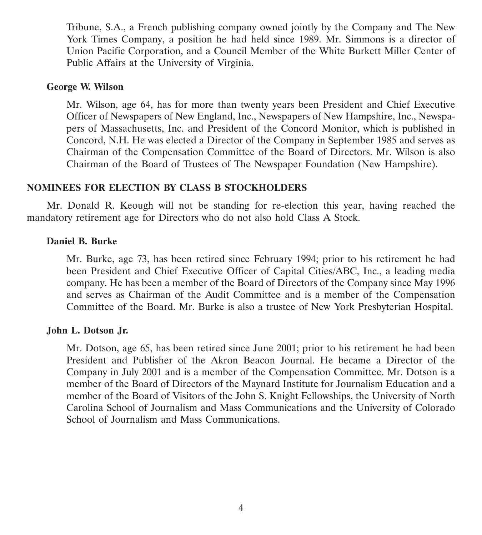Tribune, S.A., a French publishing company owned jointly by the Company and The New York Times Company, a position he had held since 1989. Mr. Simmons is a director of Union Pacific Corporation, and a Council Member of the White Burkett Miller Center of Public Affairs at the University of Virginia.

#### **George W. Wilson**

Mr. Wilson, age 64, has for more than twenty years been President and Chief Executive Officer of Newspapers of New England, Inc., Newspapers of New Hampshire, Inc., Newspapers of Massachusetts, Inc. and President of the Concord Monitor, which is published in Concord, N.H. He was elected a Director of the Company in September 1985 and serves as Chairman of the Compensation Committee of the Board of Directors. Mr. Wilson is also Chairman of the Board of Trustees of The Newspaper Foundation (New Hampshire).

#### **NOMINEES FOR ELECTION BY CLASS B STOCKHOLDERS**

Mr. Donald R. Keough will not be standing for re-election this year, having reached the mandatory retirement age for Directors who do not also hold Class A Stock.

#### **Daniel B. Burke**

Mr. Burke, age 73, has been retired since February 1994; prior to his retirement he had been President and Chief Executive Officer of Capital Cities/ABC, Inc., a leading media company. He has been a member of the Board of Directors of the Company since May 1996 and serves as Chairman of the Audit Committee and is a member of the Compensation Committee of the Board. Mr. Burke is also a trustee of New York Presbyterian Hospital.

#### **John L. Dotson Jr.**

Mr. Dotson, age 65, has been retired since June 2001; prior to his retirement he had been President and Publisher of the Akron Beacon Journal. He became a Director of the Company in July 2001 and is a member of the Compensation Committee. Mr. Dotson is a member of the Board of Directors of the Maynard Institute for Journalism Education and a member of the Board of Visitors of the John S. Knight Fellowships, the University of North Carolina School of Journalism and Mass Communications and the University of Colorado School of Journalism and Mass Communications.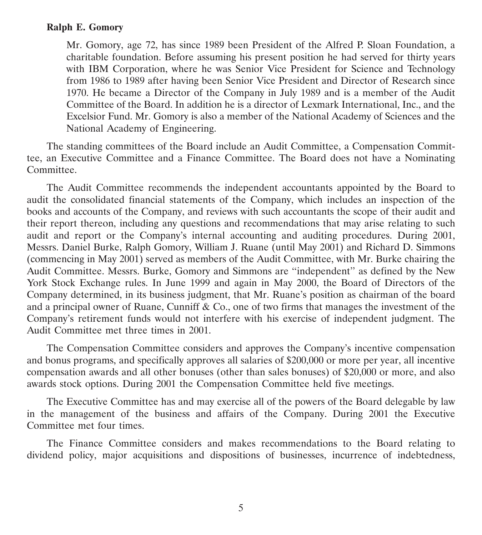#### **Ralph E. Gomory**

Mr. Gomory, age 72, has since 1989 been President of the Alfred P. Sloan Foundation, a charitable foundation. Before assuming his present position he had served for thirty years with IBM Corporation, where he was Senior Vice President for Science and Technology from 1986 to 1989 after having been Senior Vice President and Director of Research since 1970. He became a Director of the Company in July 1989 and is a member of the Audit Committee of the Board. In addition he is a director of Lexmark International, Inc., and the Excelsior Fund. Mr. Gomory is also a member of the National Academy of Sciences and the National Academy of Engineering.

The standing committees of the Board include an Audit Committee, a Compensation Committee, an Executive Committee and a Finance Committee. The Board does not have a Nominating Committee.

The Audit Committee recommends the independent accountants appointed by the Board to audit the consolidated financial statements of the Company, which includes an inspection of the books and accounts of the Company, and reviews with such accountants the scope of their audit and their report thereon, including any questions and recommendations that may arise relating to such audit and report or the Company's internal accounting and auditing procedures. During 2001, Messrs. Daniel Burke, Ralph Gomory, William J. Ruane (until May 2001) and Richard D. Simmons (commencing in May 2001) served as members of the Audit Committee, with Mr. Burke chairing the Audit Committee. Messrs. Burke, Gomory and Simmons are ''independent'' as defined by the New York Stock Exchange rules. In June 1999 and again in May 2000, the Board of Directors of the Company determined, in its business judgment, that Mr. Ruane's position as chairman of the board and a principal owner of Ruane, Cunniff  $\&$  Co., one of two firms that manages the investment of the Company's retirement funds would not interfere with his exercise of independent judgment. The Audit Committee met three times in 2001.

The Compensation Committee considers and approves the Company's incentive compensation and bonus programs, and specifically approves all salaries of \$200,000 or more per year, all incentive compensation awards and all other bonuses (other than sales bonuses) of \$20,000 or more, and also awards stock options. During 2001 the Compensation Committee held five meetings.

The Executive Committee has and may exercise all of the powers of the Board delegable by law in the management of the business and affairs of the Company. During 2001 the Executive Committee met four times.

The Finance Committee considers and makes recommendations to the Board relating to dividend policy, major acquisitions and dispositions of businesses, incurrence of indebtedness,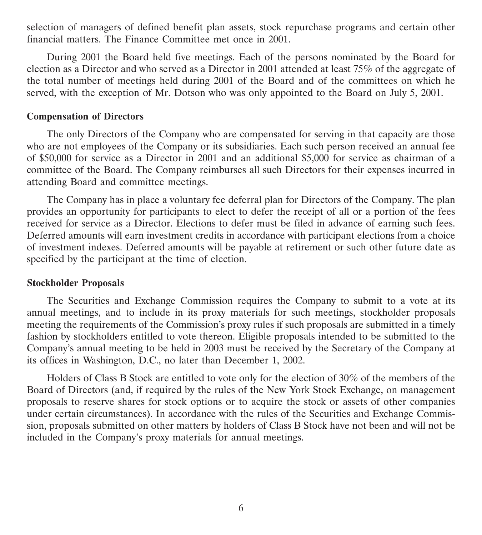selection of managers of defined benefit plan assets, stock repurchase programs and certain other financial matters. The Finance Committee met once in 2001.

During 2001 the Board held five meetings. Each of the persons nominated by the Board for election as a Director and who served as a Director in 2001 attended at least 75% of the aggregate of the total number of meetings held during 2001 of the Board and of the committees on which he served, with the exception of Mr. Dotson who was only appointed to the Board on July 5, 2001.

#### **Compensation of Directors**

The only Directors of the Company who are compensated for serving in that capacity are those who are not employees of the Company or its subsidiaries. Each such person received an annual fee of \$50,000 for service as a Director in 2001 and an additional \$5,000 for service as chairman of a committee of the Board. The Company reimburses all such Directors for their expenses incurred in attending Board and committee meetings.

The Company has in place a voluntary fee deferral plan for Directors of the Company. The plan provides an opportunity for participants to elect to defer the receipt of all or a portion of the fees received for service as a Director. Elections to defer must be filed in advance of earning such fees. Deferred amounts will earn investment credits in accordance with participant elections from a choice of investment indexes. Deferred amounts will be payable at retirement or such other future date as specified by the participant at the time of election.

#### **Stockholder Proposals**

The Securities and Exchange Commission requires the Company to submit to a vote at its annual meetings, and to include in its proxy materials for such meetings, stockholder proposals meeting the requirements of the Commission's proxy rules if such proposals are submitted in a timely fashion by stockholders entitled to vote thereon. Eligible proposals intended to be submitted to the Company's annual meeting to be held in 2003 must be received by the Secretary of the Company at its offices in Washington, D.C., no later than December 1, 2002.

Holders of Class B Stock are entitled to vote only for the election of 30% of the members of the Board of Directors (and, if required by the rules of the New York Stock Exchange, on management proposals to reserve shares for stock options or to acquire the stock or assets of other companies under certain circumstances). In accordance with the rules of the Securities and Exchange Commission, proposals submitted on other matters by holders of Class B Stock have not been and will not be included in the Company's proxy materials for annual meetings.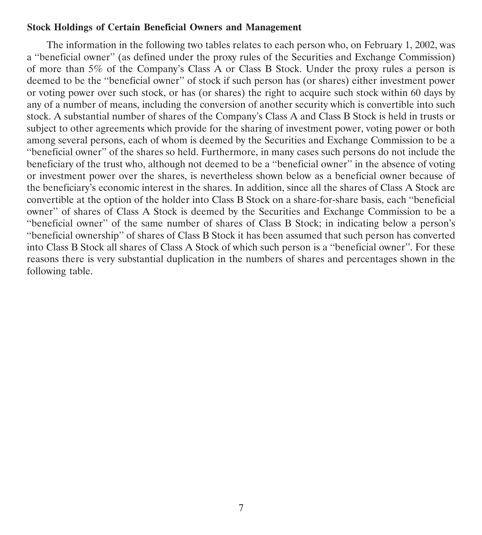#### **Stock Holdings of Certain Beneficial Owners and Management**

The information in the following two tables relates to each person who, on February 1, 2002, was a ''beneficial owner'' (as defined under the proxy rules of the Securities and Exchange Commission) of more than 5% of the Company's Class A or Class B Stock. Under the proxy rules a person is deemed to be the ''beneficial owner'' of stock if such person has (or shares) either investment power or voting power over such stock, or has (or shares) the right to acquire such stock within 60 days by any of a number of means, including the conversion of another security which is convertible into such stock. A substantial number of shares of the Company's Class A and Class B Stock is held in trusts or subject to other agreements which provide for the sharing of investment power, voting power or both among several persons, each of whom is deemed by the Securities and Exchange Commission to be a ''beneficial owner'' of the shares so held. Furthermore, in many cases such persons do not include the beneficiary of the trust who, although not deemed to be a ''beneficial owner'' in the absence of voting or investment power over the shares, is nevertheless shown below as a beneficial owner because of the beneficiary's economic interest in the shares. In addition, since all the shares of Class A Stock are convertible at the option of the holder into Class B Stock on a share-for-share basis, each ''beneficial owner'' of shares of Class A Stock is deemed by the Securities and Exchange Commission to be a ''beneficial owner'' of the same number of shares of Class B Stock; in indicating below a person's ''beneficial ownership'' of shares of Class B Stock it has been assumed that such person has converted into Class B Stock all shares of Class A Stock of which such person is a ''beneficial owner''. For these reasons there is very substantial duplication in the numbers of shares and percentages shown in the following table.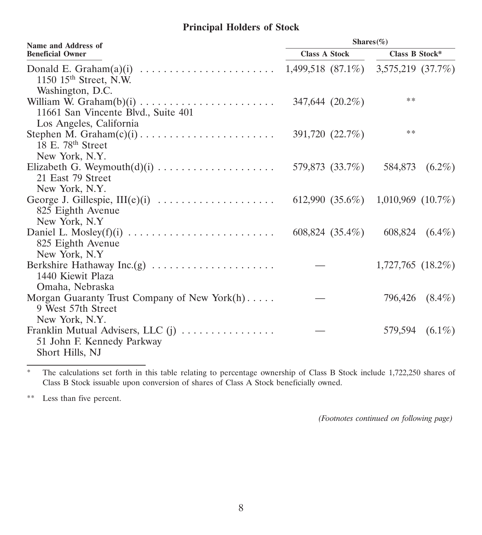## **Principal Holders of Stock**

| <b>Name and Address of</b>                                                                           | Shares $(\%)$        |                                               |  |  |  |
|------------------------------------------------------------------------------------------------------|----------------------|-----------------------------------------------|--|--|--|
| <b>Beneficial Owner</b>                                                                              | <b>Class A Stock</b> | Class B Stock*                                |  |  |  |
| 1150 $15th$ Street, N.W.<br>Washington, D.C.                                                         |                      | $1,499,518$ $(87.1\%)$ $3,575,219$ $(37.7\%)$ |  |  |  |
| 11661 San Vincente Blvd., Suite 401<br>Los Angeles, California                                       | 347,644 (20.2%)      | **                                            |  |  |  |
| 18 E. 78th Street                                                                                    | 391,720 (22.7%)      | **                                            |  |  |  |
| New York, N.Y.<br>21 East 79 Street                                                                  | 579,873 (33.7%)      | 584,873 (6.2%)                                |  |  |  |
| New York, N.Y.<br>George J. Gillespie, III(e)(i)<br>825 Eighth Avenue<br>New York, N.Y.              |                      | 612,990 (35.6%) 1,010,969 (10.7%)             |  |  |  |
| 825 Eighth Avenue<br>New York, N.Y.                                                                  | 608,824 (35.4%)      | 608,824 (6.4%)                                |  |  |  |
| Berkshire Hathaway Inc.(g)<br>1440 Kiewit Plaza                                                      |                      | $1,727,765$ $(18.2\%)$                        |  |  |  |
| Omaha, Nebraska<br>Morgan Guaranty Trust Company of New York $(h)$<br>9 West 57th Street             |                      | 796,426<br>$(8.4\%)$                          |  |  |  |
| New York, N.Y.<br>Franklin Mutual Advisers, LLC (j)<br>51 John F. Kennedy Parkway<br>Short Hills, NJ |                      | 579,594 (6.1%)                                |  |  |  |

\* The calculations set forth in this table relating to percentage ownership of Class B Stock include 1,722,250 shares of Class B Stock issuable upon conversion of shares of Class A Stock beneficially owned.

\*\* Less than five percent.

*(Footnotes continued on following page)*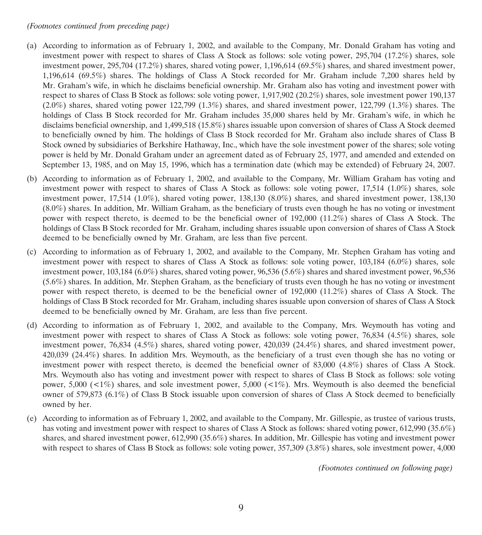#### *(Footnotes continued from preceding page)*

- (a) According to information as of February 1, 2002, and available to the Company, Mr. Donald Graham has voting and investment power with respect to shares of Class A Stock as follows: sole voting power, 295,704 (17.2%) shares, sole investment power, 295,704 (17.2%) shares, shared voting power, 1,196,614 (69.5%) shares, and shared investment power, 1,196,614 (69.5%) shares. The holdings of Class A Stock recorded for Mr. Graham include 7,200 shares held by Mr. Graham's wife, in which he disclaims beneficial ownership. Mr. Graham also has voting and investment power with respect to shares of Class B Stock as follows: sole voting power, 1,917,902 (20.2%) shares, sole investment power 190,137  $(2.0\%)$  shares, shared voting power 122,799 (1.3%) shares, and shared investment power, 122,799 (1.3%) shares. The holdings of Class B Stock recorded for Mr. Graham includes 35,000 shares held by Mr. Graham's wife, in which he disclaims beneficial ownership, and 1,499,518 (15.8%) shares issuable upon conversion of shares of Class A Stock deemed to beneficially owned by him. The holdings of Class B Stock recorded for Mr. Graham also include shares of Class B Stock owned by subsidiaries of Berkshire Hathaway, Inc., which have the sole investment power of the shares; sole voting power is held by Mr. Donald Graham under an agreement dated as of February 25, 1977, and amended and extended on September 13, 1985, and on May 15, 1996, which has a termination date (which may be extended) of February 24, 2007.
- (b) According to information as of February 1, 2002, and available to the Company, Mr. William Graham has voting and investment power with respect to shares of Class A Stock as follows: sole voting power, 17,514 (1.0%) shares, sole investment power, 17,514 (1.0%), shared voting power, 138,130 (8.0%) shares, and shared investment power, 138,130 (8.0%) shares. In addition, Mr. William Graham, as the beneficiary of trusts even though he has no voting or investment power with respect thereto, is deemed to be the beneficial owner of 192,000 (11.2%) shares of Class A Stock. The holdings of Class B Stock recorded for Mr. Graham, including shares issuable upon conversion of shares of Class A Stock deemed to be beneficially owned by Mr. Graham, are less than five percent.
- (c) According to information as of February 1, 2002, and available to the Company, Mr. Stephen Graham has voting and investment power with respect to shares of Class A Stock as follows: sole voting power, 103,184 (6.0%) shares, sole investment power, 103,184 (6.0%) shares, shared voting power, 96,536 (5.6%) shares and shared investment power, 96,536 (5.6%) shares. In addition, Mr. Stephen Graham, as the beneficiary of trusts even though he has no voting or investment power with respect thereto, is deemed to be the beneficial owner of 192,000 (11.2%) shares of Class A Stock. The holdings of Class B Stock recorded for Mr. Graham, including shares issuable upon conversion of shares of Class A Stock deemed to be beneficially owned by Mr. Graham, are less than five percent.
- (d) According to information as of February 1, 2002, and available to the Company, Mrs. Weymouth has voting and investment power with respect to shares of Class A Stock as follows: sole voting power, 76,834 (4.5%) shares, sole investment power, 76,834 (4.5%) shares, shared voting power, 420,039 (24.4%) shares, and shared investment power, 420,039 (24.4%) shares. In addition Mrs. Weymouth, as the beneficiary of a trust even though she has no voting or investment power with respect thereto, is deemed the beneficial owner of 83,000 (4.8%) shares of Class A Stock. Mrs. Weymouth also has voting and investment power with respect to shares of Class B Stock as follows: sole voting power, 5,000 ( $\lt 1\%$ ) shares, and sole investment power, 5,000 ( $\lt 1\%$ ). Mrs. Weymouth is also deemed the beneficial owner of 579,873 (6.1%) of Class B Stock issuable upon conversion of shares of Class A Stock deemed to beneficially owned by her.
- (e) According to information as of February 1, 2002, and available to the Company, Mr. Gillespie, as trustee of various trusts, has voting and investment power with respect to shares of Class A Stock as follows: shared voting power, 612,990 (35.6%) shares, and shared investment power, 612,990 (35.6%) shares. In addition, Mr. Gillespie has voting and investment power with respect to shares of Class B Stock as follows: sole voting power, 357,309 (3.8%) shares, sole investment power, 4,000

*(Footnotes continued on following page)*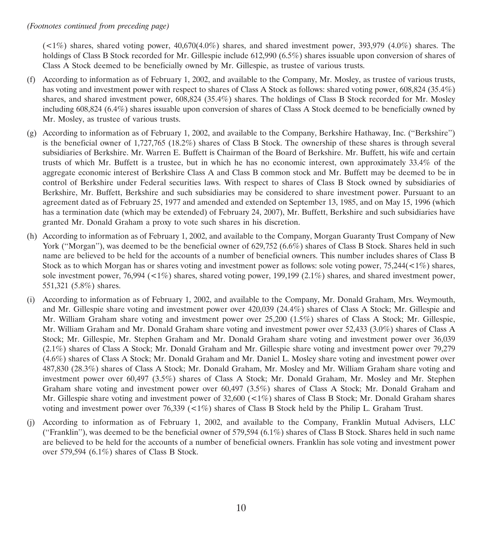#### *(Footnotes continued from preceding page)*

 $(1\%)$  shares, shared voting power, 40,670(4.0%) shares, and shared investment power, 393,979 (4.0%) shares. The holdings of Class B Stock recorded for Mr. Gillespie include 612,990 (6.5%) shares issuable upon conversion of shares of Class A Stock deemed to be beneficially owned by Mr. Gillespie, as trustee of various trusts.

- (f) According to information as of February 1, 2002, and available to the Company, Mr. Mosley, as trustee of various trusts, has voting and investment power with respect to shares of Class A Stock as follows: shared voting power,  $608,824$  (35.4%) shares, and shared investment power, 608,824 (35.4%) shares. The holdings of Class B Stock recorded for Mr. Mosley including 608,824 (6.4%) shares issuable upon conversion of shares of Class A Stock deemed to be beneficially owned by Mr. Mosley, as trustee of various trusts.
- (g) According to information as of February 1, 2002, and available to the Company, Berkshire Hathaway, Inc. (''Berkshire'') is the beneficial owner of 1,727,765 (18.2%) shares of Class B Stock. The ownership of these shares is through several subsidiaries of Berkshire. Mr. Warren E. Buffett is Chairman of the Board of Berkshire. Mr. Buffett, his wife and certain trusts of which Mr. Buffett is a trustee, but in which he has no economic interest, own approximately 33.4% of the aggregate economic interest of Berkshire Class A and Class B common stock and Mr. Buffett may be deemed to be in control of Berkshire under Federal securities laws. With respect to shares of Class B Stock owned by subsidiaries of Berkshire, Mr. Buffett, Berkshire and such subsidiaries may be considered to share investment power. Pursuant to an agreement dated as of February 25, 1977 and amended and extended on September 13, 1985, and on May 15, 1996 (which has a termination date (which may be extended) of February 24, 2007), Mr. Buffett, Berkshire and such subsidiaries have granted Mr. Donald Graham a proxy to vote such shares in his discretion.
- (h) According to information as of February 1, 2002, and available to the Company, Morgan Guaranty Trust Company of New York ("Morgan"), was deemed to be the beneficial owner of 629,752 (6.6%) shares of Class B Stock. Shares held in such name are believed to be held for the accounts of a number of beneficial owners. This number includes shares of Class B Stock as to which Morgan has or shares voting and investment power as follows: sole voting power, 75,244( $\lt 1\%$ ) shares, sole investment power, 76,994 (<1%) shares, shared voting power, 199,199 (2.1%) shares, and shared investment power, 551,321 (5.8%) shares.
- (i) According to information as of February 1, 2002, and available to the Company, Mr. Donald Graham, Mrs. Weymouth, and Mr. Gillespie share voting and investment power over 420,039 (24.4%) shares of Class A Stock; Mr. Gillespie and Mr. William Graham share voting and investment power over 25,200 (1.5%) shares of Class A Stock; Mr. Gillespie, Mr. William Graham and Mr. Donald Graham share voting and investment power over 52,433 (3.0%) shares of Class A Stock; Mr. Gillespie, Mr. Stephen Graham and Mr. Donald Graham share voting and investment power over 36,039 (2.1%) shares of Class A Stock; Mr. Donald Graham and Mr. Gillespie share voting and investment power over 79,279 (4.6%) shares of Class A Stock; Mr. Donald Graham and Mr. Daniel L. Mosley share voting and investment power over 487,830 (28.3%) shares of Class A Stock; Mr. Donald Graham, Mr. Mosley and Mr. William Graham share voting and investment power over 60,497 (3.5%) shares of Class A Stock; Mr. Donald Graham, Mr. Mosley and Mr. Stephen Graham share voting and investment power over 60,497 (3.5%) shares of Class A Stock; Mr. Donald Graham and Mr. Gillespie share voting and investment power of 32,600 (<1%) shares of Class B Stock; Mr. Donald Graham shares voting and investment power over 76,339 (<1%) shares of Class B Stock held by the Philip L. Graham Trust.
- (j) According to information as of February 1, 2002, and available to the Company, Franklin Mutual Advisers, LLC ("Franklin"), was deemed to be the beneficial owner of 579,594 (6.1%) shares of Class B Stock. Shares held in such name are believed to be held for the accounts of a number of beneficial owners. Franklin has sole voting and investment power over 579,594 (6.1%) shares of Class B Stock.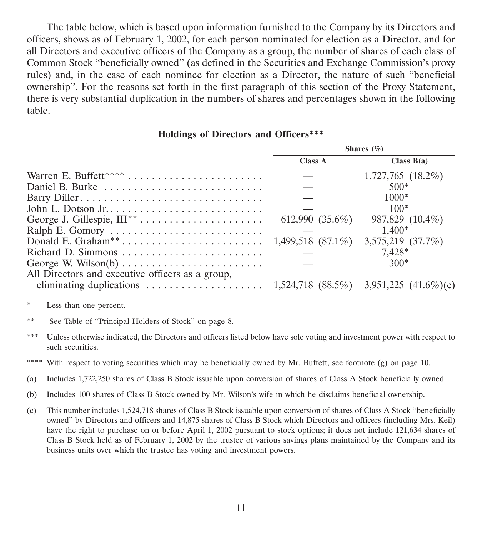The table below, which is based upon information furnished to the Company by its Directors and officers, shows as of February 1, 2002, for each person nominated for election as a Director, and for all Directors and executive officers of the Company as a group, the number of shares of each class of Common Stock ''beneficially owned'' (as defined in the Securities and Exchange Commission's proxy rules) and, in the case of each nominee for election as a Director, the nature of such ''beneficial ownership''. For the reasons set forth in the first paragraph of this section of the Proxy Statement, there is very substantial duplication in the numbers of shares and percentages shown in the following table.

#### **Holdings of Directors and Officers\*\*\***

|                                                                 | Shares $(\% )$     |                        |  |
|-----------------------------------------------------------------|--------------------|------------------------|--|
|                                                                 | <b>Class A</b>     | Class $B(a)$           |  |
|                                                                 |                    | $1,727,765$ $(18.2\%)$ |  |
|                                                                 |                    | $500*$                 |  |
|                                                                 |                    | $1000*$                |  |
|                                                                 |                    | $100*$                 |  |
|                                                                 | 612,990 $(35.6\%)$ | 987,829 (10.4%)        |  |
|                                                                 |                    | $1.400*$               |  |
|                                                                 |                    | 3,575,219 (37.7%)      |  |
|                                                                 |                    | 7,428*                 |  |
| George W. Wilson(b) $\dots \dots \dots \dots \dots \dots \dots$ |                    | $300*$                 |  |
| All Directors and executive officers as a group,                |                    |                        |  |
|                                                                 |                    |                        |  |

\* Less than one percent.

\*\* See Table of ''Principal Holders of Stock'' on page 8.

- \*\*\* Unless otherwise indicated, the Directors and officers listed below have sole voting and investment power with respect to such securities.
- \*\*\*\* With respect to voting securities which may be beneficially owned by Mr. Buffett, see footnote (g) on page 10.
- (a) Includes 1,722,250 shares of Class B Stock issuable upon conversion of shares of Class A Stock beneficially owned.
- (b) Includes 100 shares of Class B Stock owned by Mr. Wilson's wife in which he disclaims beneficial ownership.
- (c) This number includes 1,524,718 shares of Class B Stock issuable upon conversion of shares of Class A Stock ''beneficially owned'' by Directors and officers and 14,875 shares of Class B Stock which Directors and officers (including Mrs. Keil) have the right to purchase on or before April 1, 2002 pursuant to stock options; it does not include 121,634 shares of Class B Stock held as of February 1, 2002 by the trustee of various savings plans maintained by the Company and its business units over which the trustee has voting and investment powers.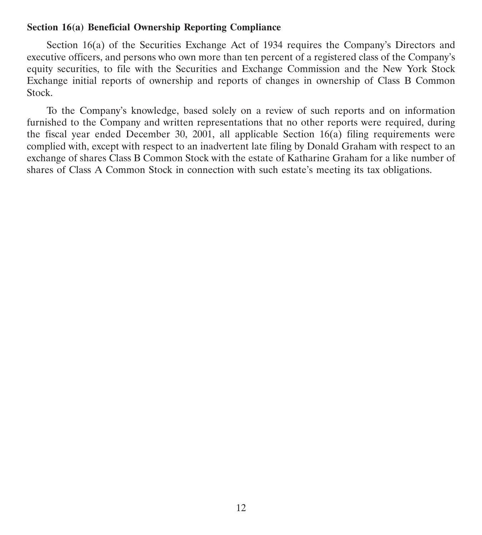#### **Section 16(a) Beneficial Ownership Reporting Compliance**

Section 16(a) of the Securities Exchange Act of 1934 requires the Company's Directors and executive officers, and persons who own more than ten percent of a registered class of the Company's equity securities, to file with the Securities and Exchange Commission and the New York Stock Exchange initial reports of ownership and reports of changes in ownership of Class B Common Stock.

To the Company's knowledge, based solely on a review of such reports and on information furnished to the Company and written representations that no other reports were required, during the fiscal year ended December 30, 2001, all applicable Section 16(a) filing requirements were complied with, except with respect to an inadvertent late filing by Donald Graham with respect to an exchange of shares Class B Common Stock with the estate of Katharine Graham for a like number of shares of Class A Common Stock in connection with such estate's meeting its tax obligations.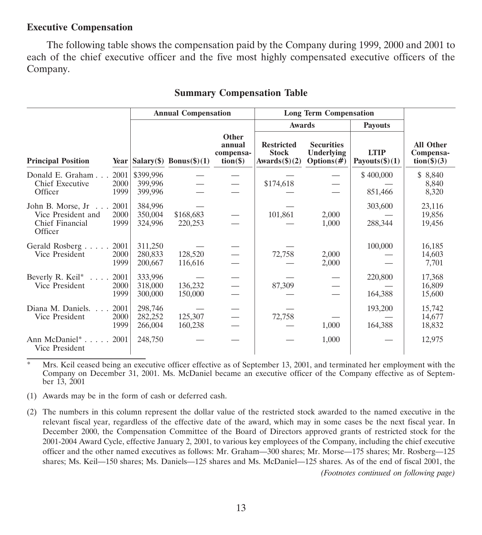#### **Executive Compensation**

The following table shows the compensation paid by the Company during 1999, 2000 and 2001 to each of the chief executive officer and the five most highly compensated executive officers of the Company.

|                                                                                            |                                 | <b>Annual Compensation</b>      |                                             | <b>Long Term Compensation</b>                                |                                                   |                                  |                                                               |
|--------------------------------------------------------------------------------------------|---------------------------------|---------------------------------|---------------------------------------------|--------------------------------------------------------------|---------------------------------------------------|----------------------------------|---------------------------------------------------------------|
|                                                                                            |                                 |                                 |                                             | <b>Awards</b>                                                |                                                   | <b>Payouts</b>                   |                                                               |
| <b>Principal Position</b>                                                                  |                                 | Year $ Salary(\$)$ Bonus(\$)(1) | Other<br>annual<br>compensa-<br>$tion(\$))$ | <b>Restricted</b><br><b>Stock</b><br>Awards $(\text{\$})(2)$ | <b>Securities</b><br>Underlying<br>Options $(\#)$ | <b>LTIP</b><br>Payouts $(\$)(1)$ | <b>All Other</b><br>Compensa-<br>$\text{tion}(\text{$\$})(3)$ |
| 2001<br>Donald E. Graham<br><b>Chief Executive</b><br>2000<br>1999<br>Officer              | \$399,996<br>399,996<br>399,996 |                                 |                                             | \$174,618                                                    |                                                   | \$400,000<br>851,466             | \$ 8,840<br>8,840<br>8,320                                    |
| John B. Morse, Jr 2001<br>Vice President and<br>2000<br>Chief Financial<br>1999<br>Officer | 384,996<br>350,004<br>324,996   | \$168,683<br>220,253            |                                             | 101,861                                                      | 2,000<br>1,000                                    | 303,600<br>288,344               | 23,116<br>19,856<br>19,456                                    |
| Gerald Rosberg 2001<br>Vice President<br>2000<br>1999                                      | 311,250<br>280,833<br>200,667   | 128,520<br>116,616              |                                             | 72,758                                                       | 2,000<br>2,000                                    | 100,000                          | 16,185<br>14,603<br>7,701                                     |
| Beverly R. Keil*<br>2001<br>Vice President<br>2000<br>1999                                 | 333,996<br>318,000<br>300,000   | 136,232<br>150,000              |                                             | 87,309                                                       |                                                   | 220,800<br>164,388               | 17,368<br>16,809<br>15,600                                    |
| Diana M. Daniels.<br>2001<br>Vice President<br>2000<br>1999                                | 298,746<br>282,252<br>266,004   | 125,307<br>160,238              |                                             | 72,758                                                       | 1,000                                             | 193,200<br>164,388               | 15,742<br>14,677<br>18,832                                    |
| Ann McDaniel <sup>*</sup> 2001<br>Vice President                                           | 248,750                         |                                 |                                             |                                                              | 1,000                                             |                                  | 12,975                                                        |

#### **Summary Compensation Table**

\* Mrs. Keil ceased being an executive officer effective as of September 13, 2001, and terminated her employment with the Company on December 31, 2001. Ms. McDaniel became an executive officer of the Company effective as of September 13, 2001

(1) Awards may be in the form of cash or deferred cash.

(2) The numbers in this column represent the dollar value of the restricted stock awarded to the named executive in the relevant fiscal year, regardless of the effective date of the award, which may in some cases be the next fiscal year. In December 2000, the Compensation Committee of the Board of Directors approved grants of restricted stock for the 2001-2004 Award Cycle, effective January 2, 2001, to various key employees of the Company, including the chief executive officer and the other named executives as follows: Mr. Graham—300 shares; Mr. Morse—175 shares; Mr. Rosberg—125 shares; Ms. Keil—150 shares; Ms. Daniels—125 shares and Ms. McDaniel—125 shares. As of the end of fiscal 2001, the *(Footnotes continued on following page)*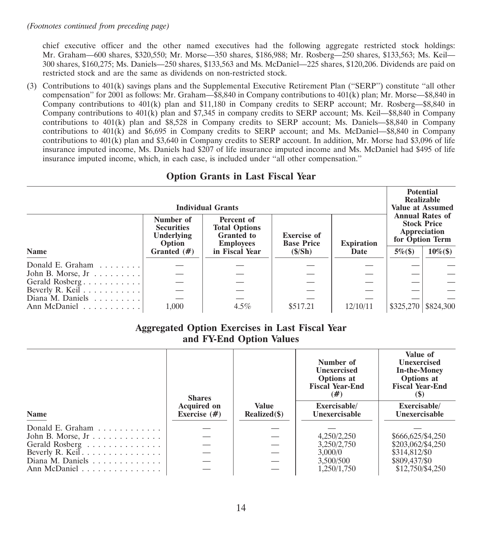chief executive officer and the other named executives had the following aggregate restricted stock holdings: Mr. Graham—600 shares, \$320,550; Mr. Morse—350 shares, \$186,988; Mr. Rosberg—250 shares, \$133,563; Ms. Keil— 300 shares, \$160,275; Ms. Daniels—250 shares, \$133,563 and Ms. McDaniel—225 shares, \$120,206. Dividends are paid on restricted stock and are the same as dividends on non-restricted stock.

(3) Contributions to 401(k) savings plans and the Supplemental Executive Retirement Plan (''SERP'') constitute ''all other compensation'' for 2001 as follows: Mr. Graham—\$8,840 in Company contributions to 401(k) plan; Mr. Morse—\$8,840 in Company contributions to 401(k) plan and \$11,180 in Company credits to SERP account; Mr. Rosberg—\$8,840 in Company contributions to 401(k) plan and \$7,345 in company credits to SERP account; Ms. Keil—\$8,840 in Company contributions to 401(k) plan and \$8,528 in Company credits to SERP account; Ms. Daniels—\$8,840 in Company contributions to 401(k) and \$6,695 in Company credits to SERP account; and Ms. McDaniel—\$8,840 in Company contributions to 401(k) plan and \$3,640 in Company credits to SERP account. In addition, Mr. Morse had \$3,096 of life insurance imputed income, Ms. Daniels had \$207 of life insurance imputed income and Ms. McDaniel had \$495 of life insurance imputed income, which, in each case, is included under ''all other compensation.''

| <b>Option Grants in Last Fiscal Year</b> |  |
|------------------------------------------|--|
|------------------------------------------|--|

| <b>Individual Grants</b>               |                                                        |                                                                             |                                         |                   |              | <b>Potential</b><br>Realizable<br><b>Value at Assumed</b>       |  |
|----------------------------------------|--------------------------------------------------------|-----------------------------------------------------------------------------|-----------------------------------------|-------------------|--------------|-----------------------------------------------------------------|--|
|                                        | Number of<br><b>Securities</b><br>Underlying<br>Option | Percent of<br><b>Total Options</b><br><b>Granted</b> to<br><b>Employees</b> | <b>Exercise of</b><br><b>Base Price</b> | <b>Expiration</b> | Appreciation | <b>Annual Rates of</b><br><b>Stock Price</b><br>for Option Term |  |
| <b>Name</b>                            | Granted $(\#)$                                         | in Fiscal Year                                                              | (S/Sh)                                  | Date              | $5\%$ (\$)   | $10\%$ (\$)                                                     |  |
| Donald E. Graham                       |                                                        |                                                                             |                                         |                   |              |                                                                 |  |
| John B. Morse, $Jr$                    |                                                        |                                                                             |                                         |                   |              |                                                                 |  |
| Gerald Rosberg                         |                                                        |                                                                             |                                         |                   |              |                                                                 |  |
| Beverly R. Keil $\ldots \ldots \ldots$ |                                                        |                                                                             |                                         |                   |              |                                                                 |  |
| Diana M. Daniels $\ldots \ldots$       |                                                        |                                                                             |                                         |                   |              |                                                                 |  |
| Ann McDaniel                           | 1.000                                                  | $4.5\%$                                                                     | \$517.21                                | 12/10/11          | \$325,270    | \$824,300                                                       |  |

#### **Aggregated Option Exercises in Last Fiscal Year and FY-End Option Values**

|                             | <b>Shares</b>                        |                                 | Number of<br><b>Unexercised</b><br>Options at<br><b>Fiscal Year-End</b><br>(#) | Value of<br><b>Unexercised</b><br><b>In-the-Money</b><br><b>Options</b> at<br><b>Fiscal Year-End</b><br><b>(S)</b> |  |
|-----------------------------|--------------------------------------|---------------------------------|--------------------------------------------------------------------------------|--------------------------------------------------------------------------------------------------------------------|--|
| <b>Name</b>                 | <b>Acquired on</b><br>Exercise $(#)$ | <b>Value</b><br>$Realized(\$))$ | Exercisable/<br>Unexercisable                                                  | Exercisable/<br>Unexercisable                                                                                      |  |
| Donald E. Graham $\ldots$ , |                                      |                                 |                                                                                |                                                                                                                    |  |
| John B. Morse, $Jr$         |                                      |                                 | 4,250/2,250                                                                    | \$666,625/\$4,250                                                                                                  |  |
| Gerald Rosberg              |                                      |                                 | 3,250/2,750                                                                    | \$203,062/\$4,250                                                                                                  |  |
| Beverly R. Keil             |                                      |                                 | 3,000/0                                                                        | \$314,812/\$0                                                                                                      |  |
| Diana M. Daniels            |                                      |                                 | 3.500/500                                                                      | \$809,437/\$0                                                                                                      |  |
| Ann McDaniel                |                                      |                                 | 1.250/1.750                                                                    | \$12,750/\$4,250                                                                                                   |  |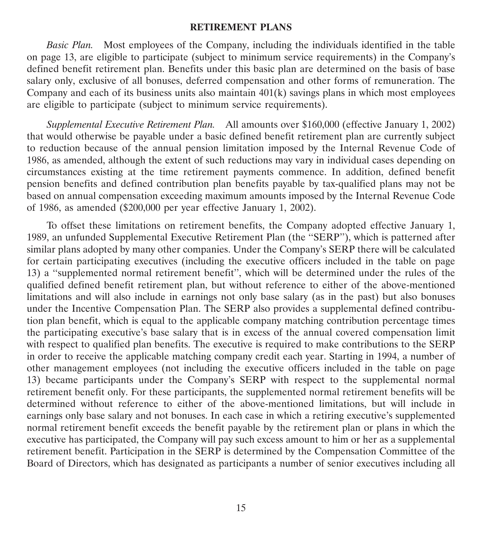#### **RETIREMENT PLANS**

*Basic Plan.* Most employees of the Company, including the individuals identified in the table on page 13, are eligible to participate (subject to minimum service requirements) in the Company's defined benefit retirement plan. Benefits under this basic plan are determined on the basis of base salary only, exclusive of all bonuses, deferred compensation and other forms of remuneration. The Company and each of its business units also maintain 401(k) savings plans in which most employees are eligible to participate (subject to minimum service requirements).

*Supplemental Executive Retirement Plan.* All amounts over \$160,000 (effective January 1, 2002) that would otherwise be payable under a basic defined benefit retirement plan are currently subject to reduction because of the annual pension limitation imposed by the Internal Revenue Code of 1986, as amended, although the extent of such reductions may vary in individual cases depending on circumstances existing at the time retirement payments commence. In addition, defined benefit pension benefits and defined contribution plan benefits payable by tax-qualified plans may not be based on annual compensation exceeding maximum amounts imposed by the Internal Revenue Code of 1986, as amended (\$200,000 per year effective January 1, 2002).

To offset these limitations on retirement benefits, the Company adopted effective January 1, 1989, an unfunded Supplemental Executive Retirement Plan (the ''SERP''), which is patterned after similar plans adopted by many other companies. Under the Company's SERP there will be calculated for certain participating executives (including the executive officers included in the table on page 13) a ''supplemented normal retirement benefit'', which will be determined under the rules of the qualified defined benefit retirement plan, but without reference to either of the above-mentioned limitations and will also include in earnings not only base salary (as in the past) but also bonuses under the Incentive Compensation Plan. The SERP also provides a supplemental defined contribution plan benefit, which is equal to the applicable company matching contribution percentage times the participating executive's base salary that is in excess of the annual covered compensation limit with respect to qualified plan benefits. The executive is required to make contributions to the SERP in order to receive the applicable matching company credit each year. Starting in 1994, a number of other management employees (not including the executive officers included in the table on page 13) became participants under the Company's SERP with respect to the supplemental normal retirement benefit only. For these participants, the supplemented normal retirement benefits will be determined without reference to either of the above-mentioned limitations, but will include in earnings only base salary and not bonuses. In each case in which a retiring executive's supplemented normal retirement benefit exceeds the benefit payable by the retirement plan or plans in which the executive has participated, the Company will pay such excess amount to him or her as a supplemental retirement benefit. Participation in the SERP is determined by the Compensation Committee of the Board of Directors, which has designated as participants a number of senior executives including all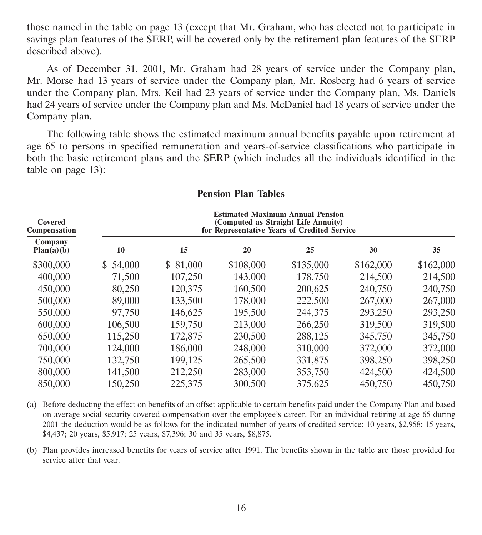those named in the table on page 13 (except that Mr. Graham, who has elected not to participate in savings plan features of the SERP, will be covered only by the retirement plan features of the SERP described above).

As of December 31, 2001, Mr. Graham had 28 years of service under the Company plan, Mr. Morse had 13 years of service under the Company plan, Mr. Rosberg had 6 years of service under the Company plan, Mrs. Keil had 23 years of service under the Company plan, Ms. Daniels had 24 years of service under the Company plan and Ms. McDaniel had 18 years of service under the Company plan.

The following table shows the estimated maximum annual benefits payable upon retirement at age 65 to persons in specified remuneration and years-of-service classifications who participate in both the basic retirement plans and the SERP (which includes all the individuals identified in the table on page 13):

| Covered<br>Compensation | <b>Estimated Maximum Annual Pension</b><br>(Computed as Straight Life Annuity)<br>for Representative Years of Credited Service |          |           |           |           |           |  |  |
|-------------------------|--------------------------------------------------------------------------------------------------------------------------------|----------|-----------|-----------|-----------|-----------|--|--|
| Company<br>Plan(a)(b)   | 10                                                                                                                             | 15       | 20        | 25        | 30        | 35        |  |  |
| \$300,000               | \$54,000                                                                                                                       | \$81,000 | \$108,000 | \$135,000 | \$162,000 | \$162,000 |  |  |
| 400,000                 | 71,500                                                                                                                         | 107,250  | 143,000   | 178,750   | 214,500   | 214,500   |  |  |
| 450,000                 | 80,250                                                                                                                         | 120,375  | 160,500   | 200,625   | 240,750   | 240,750   |  |  |
| 500,000                 | 89,000                                                                                                                         | 133,500  | 178,000   | 222,500   | 267,000   | 267,000   |  |  |
| 550,000                 | 97,750                                                                                                                         | 146,625  | 195,500   | 244,375   | 293,250   | 293,250   |  |  |
| 600,000                 | 106,500                                                                                                                        | 159,750  | 213,000   | 266,250   | 319,500   | 319,500   |  |  |
| 650,000                 | 115,250                                                                                                                        | 172,875  | 230,500   | 288,125   | 345,750   | 345,750   |  |  |
| 700,000                 | 124,000                                                                                                                        | 186,000  | 248,000   | 310,000   | 372,000   | 372,000   |  |  |
| 750,000                 | 132,750                                                                                                                        | 199,125  | 265,500   | 331,875   | 398,250   | 398,250   |  |  |
| 800,000                 | 141,500                                                                                                                        | 212,250  | 283,000   | 353,750   | 424,500   | 424,500   |  |  |
| 850,000                 | 150,250                                                                                                                        | 225,375  | 300,500   | 375,625   | 450,750   | 450,750   |  |  |

#### **Pension Plan Tables**

(a) Before deducting the effect on benefits of an offset applicable to certain benefits paid under the Company Plan and based on average social security covered compensation over the employee's career. For an individual retiring at age 65 during 2001 the deduction would be as follows for the indicated number of years of credited service: 10 years, \$2,958; 15 years, \$4,437; 20 years, \$5,917; 25 years, \$7,396; 30 and 35 years, \$8,875.

(b) Plan provides increased benefits for years of service after 1991. The benefits shown in the table are those provided for service after that year.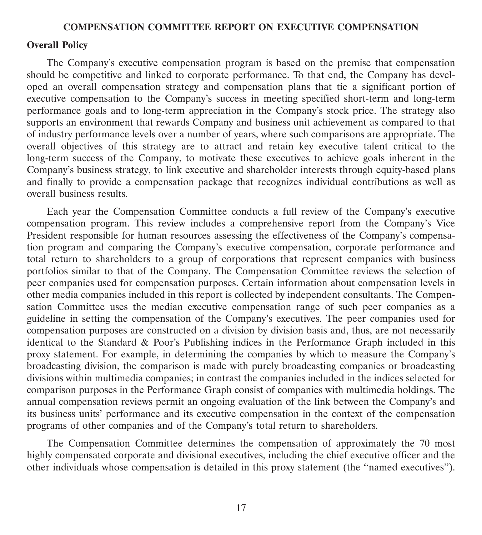#### **COMPENSATION COMMITTEE REPORT ON EXECUTIVE COMPENSATION**

#### **Overall Policy**

The Company's executive compensation program is based on the premise that compensation should be competitive and linked to corporate performance. To that end, the Company has developed an overall compensation strategy and compensation plans that tie a significant portion of executive compensation to the Company's success in meeting specified short-term and long-term performance goals and to long-term appreciation in the Company's stock price. The strategy also supports an environment that rewards Company and business unit achievement as compared to that of industry performance levels over a number of years, where such comparisons are appropriate. The overall objectives of this strategy are to attract and retain key executive talent critical to the long-term success of the Company, to motivate these executives to achieve goals inherent in the Company's business strategy, to link executive and shareholder interests through equity-based plans and finally to provide a compensation package that recognizes individual contributions as well as overall business results.

Each year the Compensation Committee conducts a full review of the Company's executive compensation program. This review includes a comprehensive report from the Company's Vice President responsible for human resources assessing the effectiveness of the Company's compensation program and comparing the Company's executive compensation, corporate performance and total return to shareholders to a group of corporations that represent companies with business portfolios similar to that of the Company. The Compensation Committee reviews the selection of peer companies used for compensation purposes. Certain information about compensation levels in other media companies included in this report is collected by independent consultants. The Compensation Committee uses the median executive compensation range of such peer companies as a guideline in setting the compensation of the Company's executives. The peer companies used for compensation purposes are constructed on a division by division basis and, thus, are not necessarily identical to the Standard & Poor's Publishing indices in the Performance Graph included in this proxy statement. For example, in determining the companies by which to measure the Company's broadcasting division, the comparison is made with purely broadcasting companies or broadcasting divisions within multimedia companies; in contrast the companies included in the indices selected for comparison purposes in the Performance Graph consist of companies with multimedia holdings. The annual compensation reviews permit an ongoing evaluation of the link between the Company's and its business units' performance and its executive compensation in the context of the compensation programs of other companies and of the Company's total return to shareholders.

The Compensation Committee determines the compensation of approximately the 70 most highly compensated corporate and divisional executives, including the chief executive officer and the other individuals whose compensation is detailed in this proxy statement (the ''named executives'').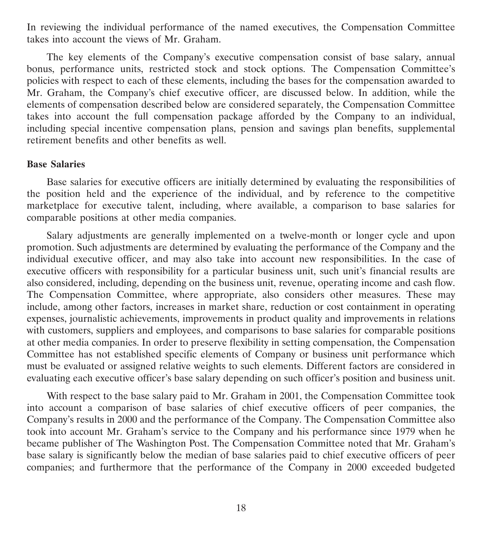In reviewing the individual performance of the named executives, the Compensation Committee takes into account the views of Mr. Graham.

The key elements of the Company's executive compensation consist of base salary, annual bonus, performance units, restricted stock and stock options. The Compensation Committee's policies with respect to each of these elements, including the bases for the compensation awarded to Mr. Graham, the Company's chief executive officer, are discussed below. In addition, while the elements of compensation described below are considered separately, the Compensation Committee takes into account the full compensation package afforded by the Company to an individual, including special incentive compensation plans, pension and savings plan benefits, supplemental retirement benefits and other benefits as well.

#### **Base Salaries**

Base salaries for executive officers are initially determined by evaluating the responsibilities of the position held and the experience of the individual, and by reference to the competitive marketplace for executive talent, including, where available, a comparison to base salaries for comparable positions at other media companies.

Salary adjustments are generally implemented on a twelve-month or longer cycle and upon promotion. Such adjustments are determined by evaluating the performance of the Company and the individual executive officer, and may also take into account new responsibilities. In the case of executive officers with responsibility for a particular business unit, such unit's financial results are also considered, including, depending on the business unit, revenue, operating income and cash flow. The Compensation Committee, where appropriate, also considers other measures. These may include, among other factors, increases in market share, reduction or cost containment in operating expenses, journalistic achievements, improvements in product quality and improvements in relations with customers, suppliers and employees, and comparisons to base salaries for comparable positions at other media companies. In order to preserve flexibility in setting compensation, the Compensation Committee has not established specific elements of Company or business unit performance which must be evaluated or assigned relative weights to such elements. Different factors are considered in evaluating each executive officer's base salary depending on such officer's position and business unit.

With respect to the base salary paid to Mr. Graham in 2001, the Compensation Committee took into account a comparison of base salaries of chief executive officers of peer companies, the Company's results in 2000 and the performance of the Company. The Compensation Committee also took into account Mr. Graham's service to the Company and his performance since 1979 when he became publisher of The Washington Post. The Compensation Committee noted that Mr. Graham's base salary is significantly below the median of base salaries paid to chief executive officers of peer companies; and furthermore that the performance of the Company in 2000 exceeded budgeted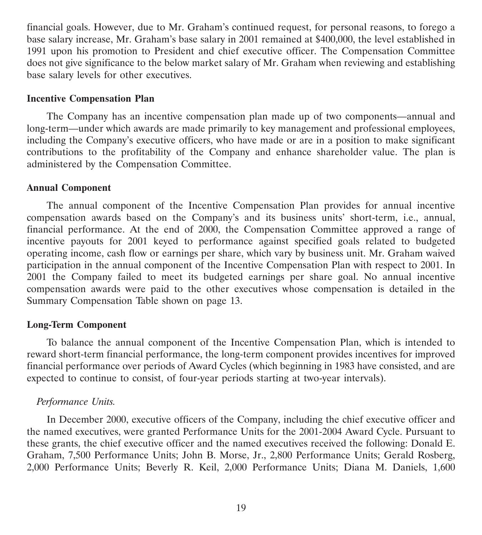financial goals. However, due to Mr. Graham's continued request, for personal reasons, to forego a base salary increase, Mr. Graham's base salary in 2001 remained at \$400,000, the level established in 1991 upon his promotion to President and chief executive officer. The Compensation Committee does not give significance to the below market salary of Mr. Graham when reviewing and establishing base salary levels for other executives.

#### **Incentive Compensation Plan**

The Company has an incentive compensation plan made up of two components—annual and long-term—under which awards are made primarily to key management and professional employees, including the Company's executive officers, who have made or are in a position to make significant contributions to the profitability of the Company and enhance shareholder value. The plan is administered by the Compensation Committee.

#### **Annual Component**

The annual component of the Incentive Compensation Plan provides for annual incentive compensation awards based on the Company's and its business units' short-term, i.e., annual, financial performance. At the end of 2000, the Compensation Committee approved a range of incentive payouts for 2001 keyed to performance against specified goals related to budgeted operating income, cash flow or earnings per share, which vary by business unit. Mr. Graham waived participation in the annual component of the Incentive Compensation Plan with respect to 2001. In 2001 the Company failed to meet its budgeted earnings per share goal. No annual incentive compensation awards were paid to the other executives whose compensation is detailed in the Summary Compensation Table shown on page 13.

### **Long-Term Component**

To balance the annual component of the Incentive Compensation Plan, which is intended to reward short-term financial performance, the long-term component provides incentives for improved financial performance over periods of Award Cycles (which beginning in 1983 have consisted, and are expected to continue to consist, of four-year periods starting at two-year intervals).

### *Performance Units.*

In December 2000, executive officers of the Company, including the chief executive officer and the named executives, were granted Performance Units for the 2001-2004 Award Cycle. Pursuant to these grants, the chief executive officer and the named executives received the following: Donald E. Graham, 7,500 Performance Units; John B. Morse, Jr., 2,800 Performance Units; Gerald Rosberg, 2,000 Performance Units; Beverly R. Keil, 2,000 Performance Units; Diana M. Daniels, 1,600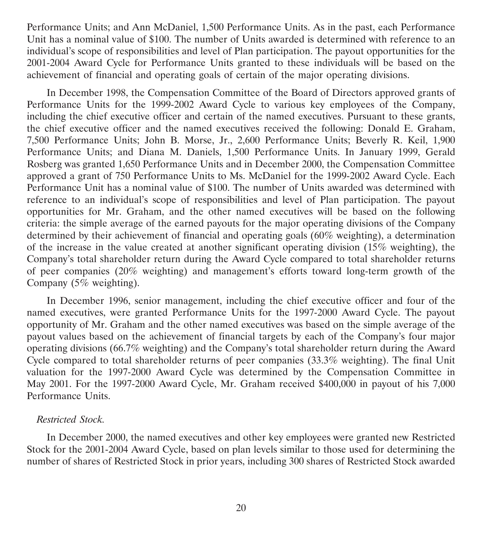Performance Units; and Ann McDaniel, 1,500 Performance Units. As in the past, each Performance Unit has a nominal value of \$100. The number of Units awarded is determined with reference to an individual's scope of responsibilities and level of Plan participation. The payout opportunities for the 2001-2004 Award Cycle for Performance Units granted to these individuals will be based on the achievement of financial and operating goals of certain of the major operating divisions.

In December 1998, the Compensation Committee of the Board of Directors approved grants of Performance Units for the 1999-2002 Award Cycle to various key employees of the Company, including the chief executive officer and certain of the named executives. Pursuant to these grants, the chief executive officer and the named executives received the following: Donald E. Graham, 7,500 Performance Units; John B. Morse, Jr., 2,600 Performance Units; Beverly R. Keil, 1,900 Performance Units; and Diana M. Daniels, 1,500 Performance Units. In January 1999, Gerald Rosberg was granted 1,650 Performance Units and in December 2000, the Compensation Committee approved a grant of 750 Performance Units to Ms. McDaniel for the 1999-2002 Award Cycle. Each Performance Unit has a nominal value of \$100. The number of Units awarded was determined with reference to an individual's scope of responsibilities and level of Plan participation. The payout opportunities for Mr. Graham, and the other named executives will be based on the following criteria: the simple average of the earned payouts for the major operating divisions of the Company determined by their achievement of financial and operating goals (60% weighting), a determination of the increase in the value created at another significant operating division (15% weighting), the Company's total shareholder return during the Award Cycle compared to total shareholder returns of peer companies (20% weighting) and management's efforts toward long-term growth of the Company (5% weighting).

In December 1996, senior management, including the chief executive officer and four of the named executives, were granted Performance Units for the 1997-2000 Award Cycle. The payout opportunity of Mr. Graham and the other named executives was based on the simple average of the payout values based on the achievement of financial targets by each of the Company's four major operating divisions (66.7% weighting) and the Company's total shareholder return during the Award Cycle compared to total shareholder returns of peer companies (33.3% weighting). The final Unit valuation for the 1997-2000 Award Cycle was determined by the Compensation Committee in May 2001. For the 1997-2000 Award Cycle, Mr. Graham received \$400,000 in payout of his 7,000 Performance Units.

### *Restricted Stock.*

In December 2000, the named executives and other key employees were granted new Restricted Stock for the 2001-2004 Award Cycle, based on plan levels similar to those used for determining the number of shares of Restricted Stock in prior years, including 300 shares of Restricted Stock awarded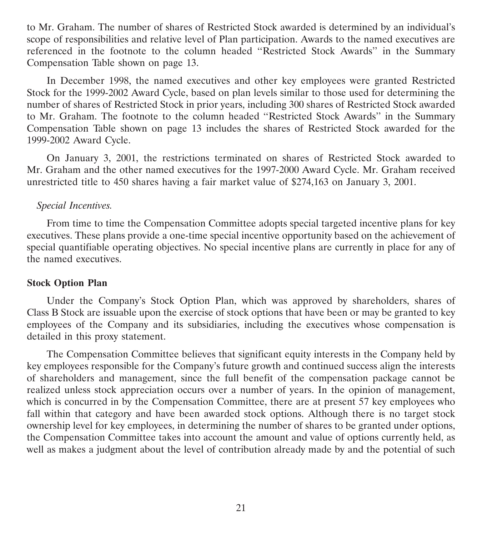to Mr. Graham. The number of shares of Restricted Stock awarded is determined by an individual's scope of responsibilities and relative level of Plan participation. Awards to the named executives are referenced in the footnote to the column headed ''Restricted Stock Awards'' in the Summary Compensation Table shown on page 13.

In December 1998, the named executives and other key employees were granted Restricted Stock for the 1999-2002 Award Cycle, based on plan levels similar to those used for determining the number of shares of Restricted Stock in prior years, including 300 shares of Restricted Stock awarded to Mr. Graham. The footnote to the column headed ''Restricted Stock Awards'' in the Summary Compensation Table shown on page 13 includes the shares of Restricted Stock awarded for the 1999-2002 Award Cycle.

On January 3, 2001, the restrictions terminated on shares of Restricted Stock awarded to Mr. Graham and the other named executives for the 1997-2000 Award Cycle. Mr. Graham received unrestricted title to 450 shares having a fair market value of \$274,163 on January 3, 2001.

### *Special Incentives.*

From time to time the Compensation Committee adopts special targeted incentive plans for key executives. These plans provide a one-time special incentive opportunity based on the achievement of special quantifiable operating objectives. No special incentive plans are currently in place for any of the named executives.

#### **Stock Option Plan**

Under the Company's Stock Option Plan, which was approved by shareholders, shares of Class B Stock are issuable upon the exercise of stock options that have been or may be granted to key employees of the Company and its subsidiaries, including the executives whose compensation is detailed in this proxy statement.

The Compensation Committee believes that significant equity interests in the Company held by key employees responsible for the Company's future growth and continued success align the interests of shareholders and management, since the full benefit of the compensation package cannot be realized unless stock appreciation occurs over a number of years. In the opinion of management, which is concurred in by the Compensation Committee, there are at present 57 key employees who fall within that category and have been awarded stock options. Although there is no target stock ownership level for key employees, in determining the number of shares to be granted under options, the Compensation Committee takes into account the amount and value of options currently held, as well as makes a judgment about the level of contribution already made by and the potential of such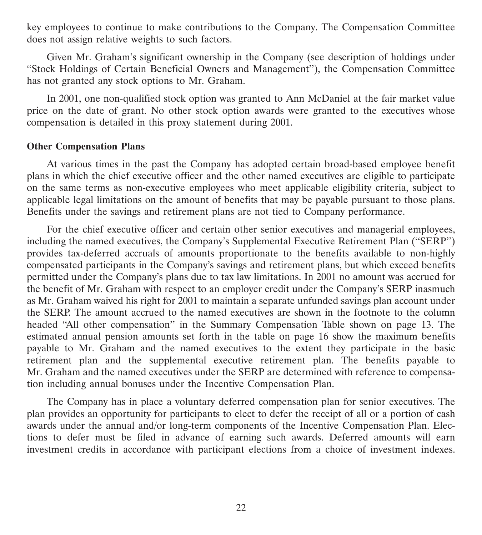key employees to continue to make contributions to the Company. The Compensation Committee does not assign relative weights to such factors.

Given Mr. Graham's significant ownership in the Company (see description of holdings under ''Stock Holdings of Certain Beneficial Owners and Management''), the Compensation Committee has not granted any stock options to Mr. Graham.

In 2001, one non-qualified stock option was granted to Ann McDaniel at the fair market value price on the date of grant. No other stock option awards were granted to the executives whose compensation is detailed in this proxy statement during 2001.

#### **Other Compensation Plans**

At various times in the past the Company has adopted certain broad-based employee benefit plans in which the chief executive officer and the other named executives are eligible to participate on the same terms as non-executive employees who meet applicable eligibility criteria, subject to applicable legal limitations on the amount of benefits that may be payable pursuant to those plans. Benefits under the savings and retirement plans are not tied to Company performance.

For the chief executive officer and certain other senior executives and managerial employees, including the named executives, the Company's Supplemental Executive Retirement Plan (''SERP'') provides tax-deferred accruals of amounts proportionate to the benefits available to non-highly compensated participants in the Company's savings and retirement plans, but which exceed benefits permitted under the Company's plans due to tax law limitations. In 2001 no amount was accrued for the benefit of Mr. Graham with respect to an employer credit under the Company's SERP inasmuch as Mr. Graham waived his right for 2001 to maintain a separate unfunded savings plan account under the SERP. The amount accrued to the named executives are shown in the footnote to the column headed ''All other compensation'' in the Summary Compensation Table shown on page 13. The estimated annual pension amounts set forth in the table on page 16 show the maximum benefits payable to Mr. Graham and the named executives to the extent they participate in the basic retirement plan and the supplemental executive retirement plan. The benefits payable to Mr. Graham and the named executives under the SERP are determined with reference to compensation including annual bonuses under the Incentive Compensation Plan.

The Company has in place a voluntary deferred compensation plan for senior executives. The plan provides an opportunity for participants to elect to defer the receipt of all or a portion of cash awards under the annual and/or long-term components of the Incentive Compensation Plan. Elections to defer must be filed in advance of earning such awards. Deferred amounts will earn investment credits in accordance with participant elections from a choice of investment indexes.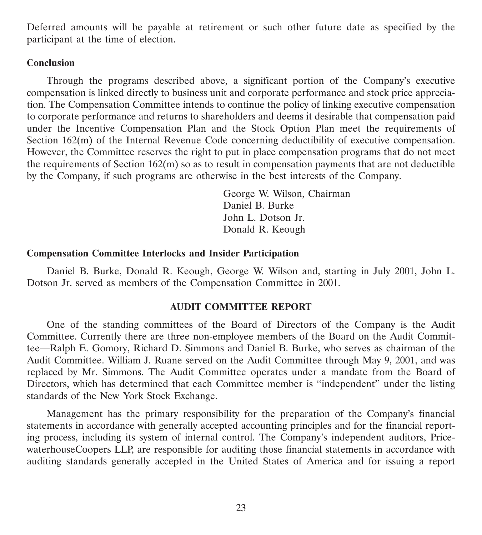Deferred amounts will be payable at retirement or such other future date as specified by the participant at the time of election.

#### **Conclusion**

Through the programs described above, a significant portion of the Company's executive compensation is linked directly to business unit and corporate performance and stock price appreciation. The Compensation Committee intends to continue the policy of linking executive compensation to corporate performance and returns to shareholders and deems it desirable that compensation paid under the Incentive Compensation Plan and the Stock Option Plan meet the requirements of Section  $162(m)$  of the Internal Revenue Code concerning deductibility of executive compensation. However, the Committee reserves the right to put in place compensation programs that do not meet the requirements of Section  $162(m)$  so as to result in compensation payments that are not deductible by the Company, if such programs are otherwise in the best interests of the Company.

> George W. Wilson, Chairman Daniel B. Burke John L. Dotson Jr. Donald R. Keough

#### **Compensation Committee Interlocks and Insider Participation**

Daniel B. Burke, Donald R. Keough, George W. Wilson and, starting in July 2001, John L. Dotson Jr. served as members of the Compensation Committee in 2001.

#### **AUDIT COMMITTEE REPORT**

One of the standing committees of the Board of Directors of the Company is the Audit Committee. Currently there are three non-employee members of the Board on the Audit Committee—Ralph E. Gomory, Richard D. Simmons and Daniel B. Burke, who serves as chairman of the Audit Committee. William J. Ruane served on the Audit Committee through May 9, 2001, and was replaced by Mr. Simmons. The Audit Committee operates under a mandate from the Board of Directors, which has determined that each Committee member is ''independent'' under the listing standards of the New York Stock Exchange.

Management has the primary responsibility for the preparation of the Company's financial statements in accordance with generally accepted accounting principles and for the financial reporting process, including its system of internal control. The Company's independent auditors, PricewaterhouseCoopers LLP, are responsible for auditing those financial statements in accordance with auditing standards generally accepted in the United States of America and for issuing a report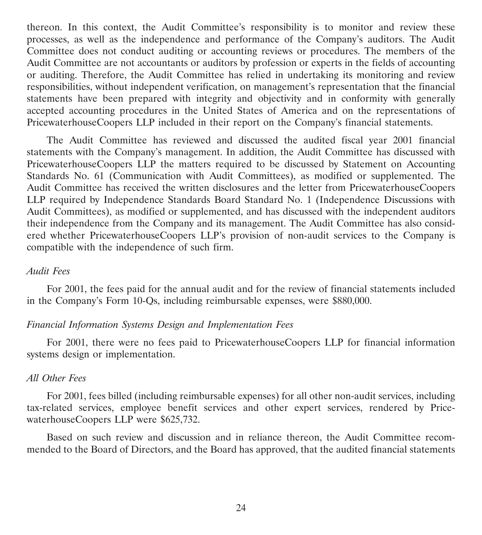thereon. In this context, the Audit Committee's responsibility is to monitor and review these processes, as well as the independence and performance of the Company's auditors. The Audit Committee does not conduct auditing or accounting reviews or procedures. The members of the Audit Committee are not accountants or auditors by profession or experts in the fields of accounting or auditing. Therefore, the Audit Committee has relied in undertaking its monitoring and review responsibilities, without independent verification, on management's representation that the financial statements have been prepared with integrity and objectivity and in conformity with generally accepted accounting procedures in the United States of America and on the representations of PricewaterhouseCoopers LLP included in their report on the Company's financial statements.

The Audit Committee has reviewed and discussed the audited fiscal year 2001 financial statements with the Company's management. In addition, the Audit Committee has discussed with PricewaterhouseCoopers LLP the matters required to be discussed by Statement on Accounting Standards No. 61 (Communication with Audit Committees), as modified or supplemented. The Audit Committee has received the written disclosures and the letter from PricewaterhouseCoopers LLP required by Independence Standards Board Standard No. 1 (Independence Discussions with Audit Committees), as modified or supplemented, and has discussed with the independent auditors their independence from the Company and its management. The Audit Committee has also considered whether PricewaterhouseCoopers LLP's provision of non-audit services to the Company is compatible with the independence of such firm.

#### *Audit Fees*

For 2001, the fees paid for the annual audit and for the review of financial statements included in the Company's Form 10-Qs, including reimbursable expenses, were \$880,000.

#### *Financial Information Systems Design and Implementation Fees*

For 2001, there were no fees paid to PricewaterhouseCoopers LLP for financial information systems design or implementation.

#### *All Other Fees*

For 2001, fees billed (including reimbursable expenses) for all other non-audit services, including tax-related services, employee benefit services and other expert services, rendered by PricewaterhouseCoopers LLP were \$625,732.

Based on such review and discussion and in reliance thereon, the Audit Committee recommended to the Board of Directors, and the Board has approved, that the audited financial statements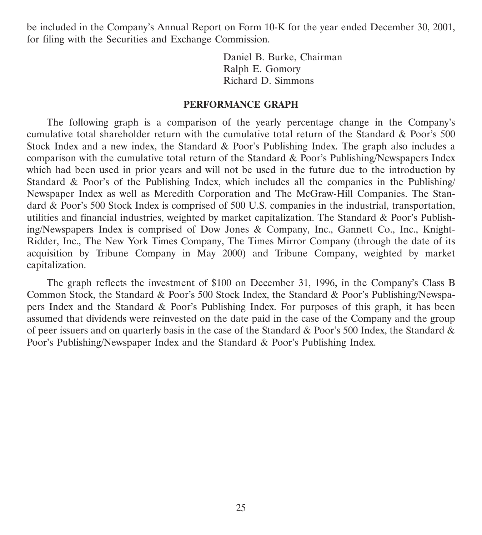be included in the Company's Annual Report on Form 10-K for the year ended December 30, 2001, for filing with the Securities and Exchange Commission.

> Daniel B. Burke, Chairman Ralph E. Gomory Richard D. Simmons

#### **PERFORMANCE GRAPH**

The following graph is a comparison of the yearly percentage change in the Company's cumulative total shareholder return with the cumulative total return of the Standard & Poor's 500 Stock Index and a new index, the Standard & Poor's Publishing Index. The graph also includes a comparison with the cumulative total return of the Standard & Poor's Publishing/Newspapers Index which had been used in prior years and will not be used in the future due to the introduction by Standard & Poor's of the Publishing Index, which includes all the companies in the Publishing/ Newspaper Index as well as Meredith Corporation and The McGraw-Hill Companies. The Standard & Poor's 500 Stock Index is comprised of 500 U.S. companies in the industrial, transportation, utilities and financial industries, weighted by market capitalization. The Standard & Poor's Publishing/Newspapers Index is comprised of Dow Jones & Company, Inc., Gannett Co., Inc., Knight-Ridder, Inc., The New York Times Company, The Times Mirror Company (through the date of its acquisition by Tribune Company in May 2000) and Tribune Company, weighted by market capitalization.

The graph reflects the investment of \$100 on December 31, 1996, in the Company's Class B Common Stock, the Standard & Poor's 500 Stock Index, the Standard & Poor's Publishing/Newspapers Index and the Standard & Poor's Publishing Index. For purposes of this graph, it has been assumed that dividends were reinvested on the date paid in the case of the Company and the group of peer issuers and on quarterly basis in the case of the Standard & Poor's 500 Index, the Standard & Poor's Publishing/Newspaper Index and the Standard & Poor's Publishing Index.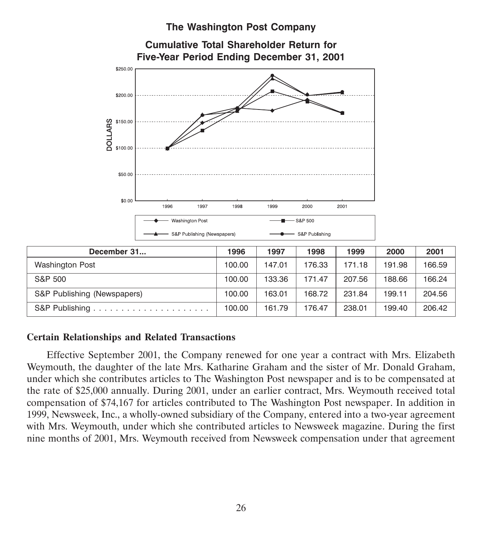## **The Washington Post Company**



### **Certain Relationships and Related Transactions**

Effective September 2001, the Company renewed for one year a contract with Mrs. Elizabeth Weymouth, the daughter of the late Mrs. Katharine Graham and the sister of Mr. Donald Graham, under which she contributes articles to The Washington Post newspaper and is to be compensated at the rate of \$25,000 annually. During 2001, under an earlier contract, Mrs. Weymouth received total compensation of \$74,167 for articles contributed to The Washington Post newspaper. In addition in 1999, Newsweek, Inc., a wholly-owned subsidiary of the Company, entered into a two-year agreement with Mrs. Weymouth, under which she contributed articles to Newsweek magazine. During the first nine months of 2001, Mrs. Weymouth received from Newsweek compensation under that agreement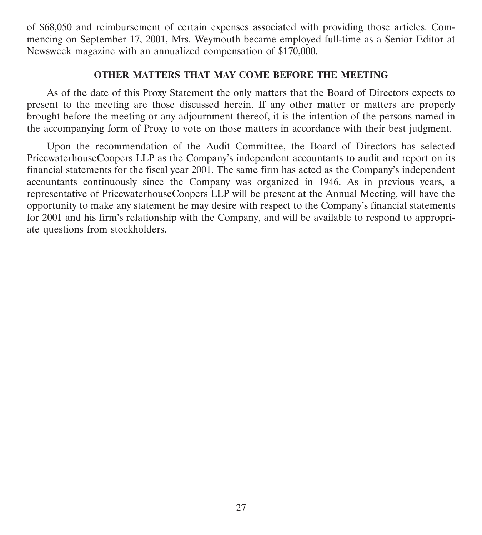of \$68,050 and reimbursement of certain expenses associated with providing those articles. Commencing on September 17, 2001, Mrs. Weymouth became employed full-time as a Senior Editor at Newsweek magazine with an annualized compensation of \$170,000.

#### **OTHER MATTERS THAT MAY COME BEFORE THE MEETING**

As of the date of this Proxy Statement the only matters that the Board of Directors expects to present to the meeting are those discussed herein. If any other matter or matters are properly brought before the meeting or any adjournment thereof, it is the intention of the persons named in the accompanying form of Proxy to vote on those matters in accordance with their best judgment.

Upon the recommendation of the Audit Committee, the Board of Directors has selected PricewaterhouseCoopers LLP as the Company's independent accountants to audit and report on its financial statements for the fiscal year 2001. The same firm has acted as the Company's independent accountants continuously since the Company was organized in 1946. As in previous years, a representative of PricewaterhouseCoopers LLP will be present at the Annual Meeting, will have the opportunity to make any statement he may desire with respect to the Company's financial statements for 2001 and his firm's relationship with the Company, and will be available to respond to appropriate questions from stockholders.